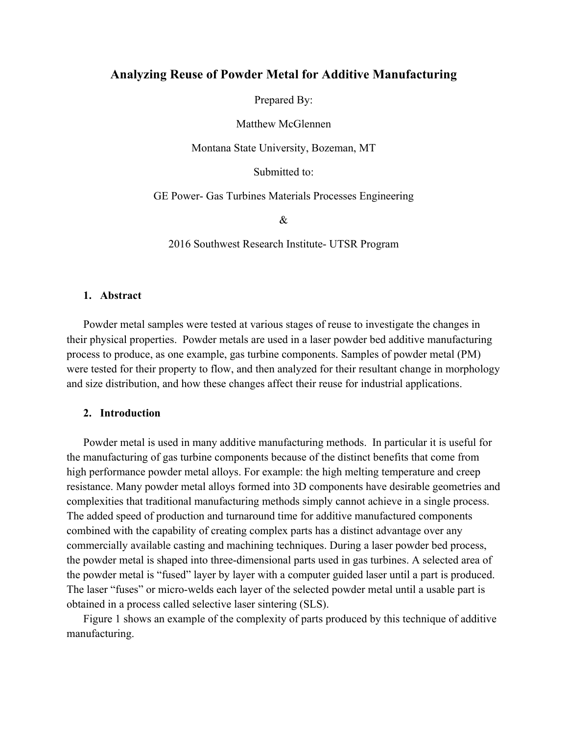## **Analyzing Reuse of Powder Metal for Additive Manufacturing**

Prepared By:

Matthew McGlennen

Montana State University, Bozeman, MT

Submitted to:

GE Power- Gas Turbines Materials Processes Engineering

&

2016 Southwest Research Institute- UTSR Program

#### **1. Abstract**

Powder metal samples were tested at various stages of reuse to investigate the changes in their physical properties. Powder metals are used in a laser powder bed additive manufacturing process to produce, as one example, gas turbine components. Samples of powder metal (PM) were tested for their property to flow, and then analyzed for their resultant change in morphology and size distribution, and how these changes affect their reuse for industrial applications.

### **2. Introduction**

Powder metal is used in many additive manufacturing methods. In particular it is useful for the manufacturing of gas turbine components because of the distinct benefits that come from high performance powder metal alloys. For example: the high melting temperature and creep resistance. Many powder metal alloys formed into 3D components have desirable geometries and complexities that traditional manufacturing methods simply cannot achieve in a single process. The added speed of production and turnaround time for additive manufactured components combined with the capability of creating complex parts has a distinct advantage over any commercially available casting and machining techniques. During a laser powder bed process, the powder metal is shaped into three-dimensional parts used in gas turbines. A selected area of the powder metal is "fused" layer by layer with a computer guided laser until a part is produced. The laser "fuses" or micro-welds each layer of the selected powder metal until a usable part is obtained in a process called selective laser sintering (SLS).

Figure 1 shows an example of the complexity of parts produced by this technique of additive manufacturing.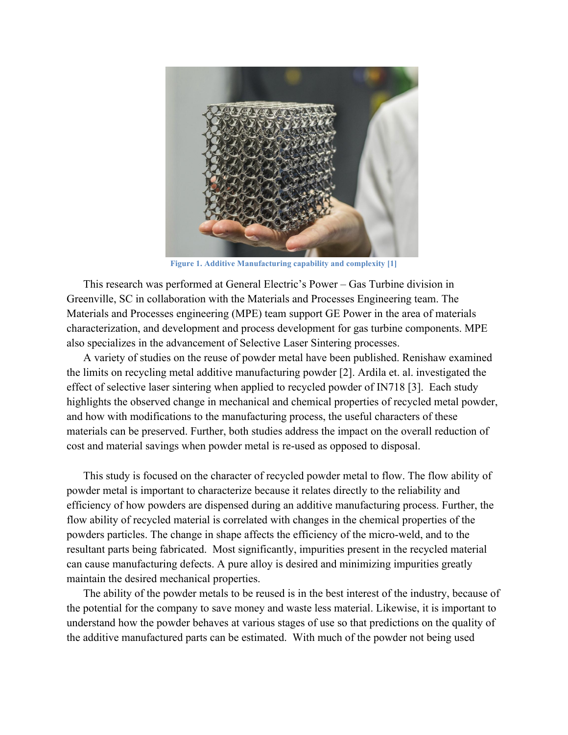

**Figure 1. Additive Manufacturing capability and complexity [1]**

This research was performed at General Electric's Power – Gas Turbine division in Greenville, SC in collaboration with the Materials and Processes Engineering team. The Materials and Processes engineering (MPE) team support GE Power in the area of materials characterization, and development and process development for gas turbine components. MPE also specializes in the advancement of Selective Laser Sintering processes.

A variety of studies on the reuse of powder metal have been published. Renishaw examined the limits on recycling metal additive manufacturing powder [2]. Ardila et. al. investigated the effect of selective laser sintering when applied to recycled powder of IN718 [3]. Each study highlights the observed change in mechanical and chemical properties of recycled metal powder, and how with modifications to the manufacturing process, the useful characters of these materials can be preserved. Further, both studies address the impact on the overall reduction of cost and material savings when powder metal is re-used as opposed to disposal.

This study is focused on the character of recycled powder metal to flow. The flow ability of powder metal is important to characterize because it relates directly to the reliability and efficiency of how powders are dispensed during an additive manufacturing process. Further, the flow ability of recycled material is correlated with changes in the chemical properties of the powders particles. The change in shape affects the efficiency of the micro-weld, and to the resultant parts being fabricated. Most significantly, impurities present in the recycled material can cause manufacturing defects. A pure alloy is desired and minimizing impurities greatly maintain the desired mechanical properties.

The ability of the powder metals to be reused is in the best interest of the industry, because of the potential for the company to save money and waste less material. Likewise, it is important to understand how the powder behaves at various stages of use so that predictions on the quality of the additive manufactured parts can be estimated. With much of the powder not being used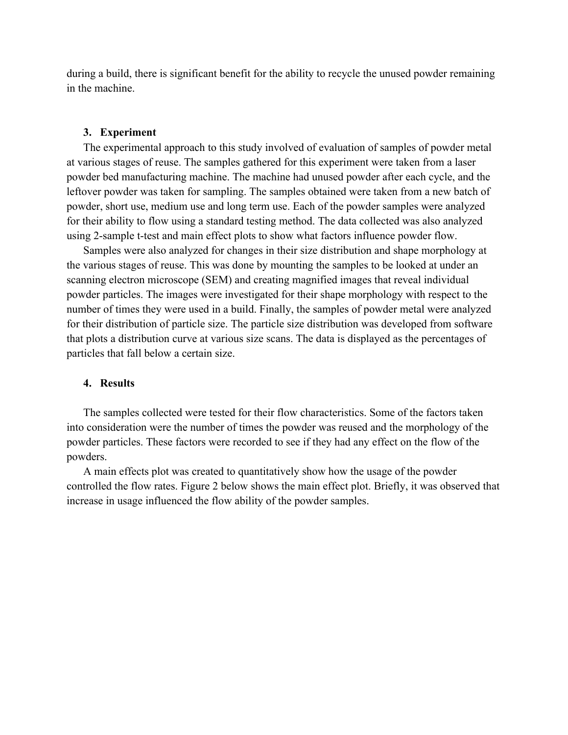during a build, there is significant benefit for the ability to recycle the unused powder remaining in the machine.

#### **3. Experiment**

The experimental approach to this study involved of evaluation of samples of powder metal at various stages of reuse. The samples gathered for this experiment were taken from a laser powder bed manufacturing machine. The machine had unused powder after each cycle, and the leftover powder was taken for sampling. The samples obtained were taken from a new batch of powder, short use, medium use and long term use. Each of the powder samples were analyzed for their ability to flow using a standard testing method. The data collected was also analyzed using 2-sample t-test and main effect plots to show what factors influence powder flow.

Samples were also analyzed for changes in their size distribution and shape morphology at the various stages of reuse. This was done by mounting the samples to be looked at under an scanning electron microscope (SEM) and creating magnified images that reveal individual powder particles. The images were investigated for their shape morphology with respect to the number of times they were used in a build. Finally, the samples of powder metal were analyzed for their distribution of particle size. The particle size distribution was developed from software that plots a distribution curve at various size scans. The data is displayed as the percentages of particles that fall below a certain size.

## **4. Results**

The samples collected were tested for their flow characteristics. Some of the factors taken into consideration were the number of times the powder was reused and the morphology of the powder particles. These factors were recorded to see if they had any effect on the flow of the powders.

A main effects plot was created to quantitatively show how the usage of the powder controlled the flow rates. Figure 2 below shows the main effect plot. Briefly, it was observed that increase in usage influenced the flow ability of the powder samples.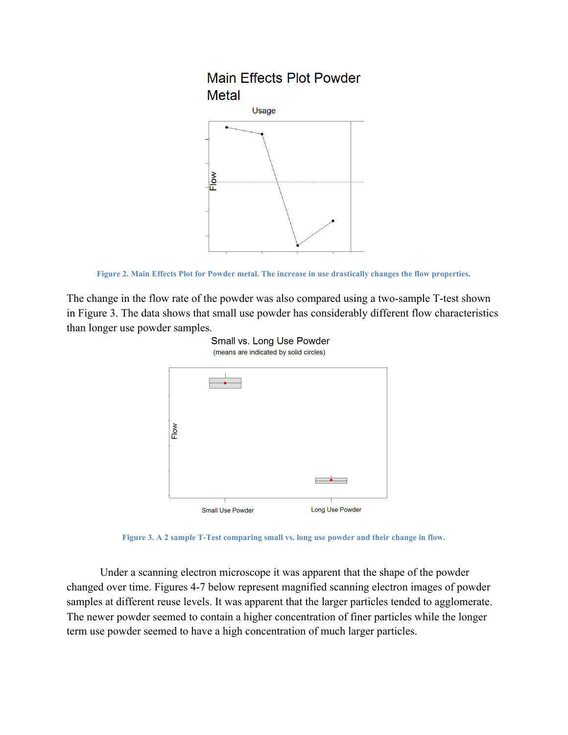

**Figure 2. Main Effects Plot for Powder metal. The increase in use drastically changes the flow properties.**

The change in the flow rate of the powder was also compared using a two-sample T-test shown in Figure 3. The data shows that small use powder has considerably different flow characteristics than longer use powder samples.





**Figure 3. A 2 sample T-Test comparing small vs. long use powder and their change in flow.** 

Under a scanning electron microscope it was apparent that the shape of the powder changed over time. Figures 4-7 below represent magnified scanning electron images of powder samples at different reuse levels. It was apparent that the larger particles tended to agglomerate. The newer powder seemed to contain a higher concentration of finer particles while the longer term use powder seemed to have a high concentration of much larger particles.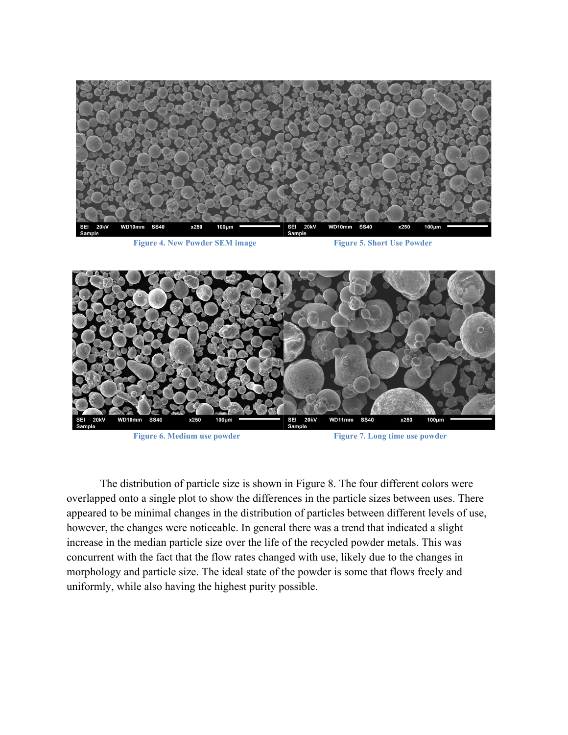

**Figure 4. New Powder SEM image Figure 5. Short Use Powder**



**Figure 6. Medium use powder Figure 7. Long time use powder**

The distribution of particle size is shown in Figure 8. The four different colors were overlapped onto a single plot to show the differences in the particle sizes between uses. There appeared to be minimal changes in the distribution of particles between different levels of use, however, the changes were noticeable. In general there was a trend that indicated a slight increase in the median particle size over the life of the recycled powder metals. This was concurrent with the fact that the flow rates changed with use, likely due to the changes in morphology and particle size. The ideal state of the powder is some that flows freely and uniformly, while also having the highest purity possible.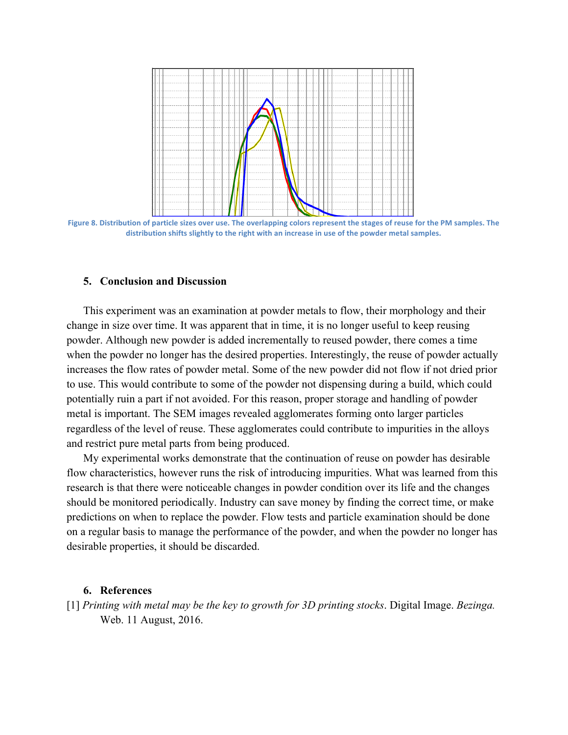

Figure 8. Distribution of particle sizes over use. The overlapping colors represent the stages of reuse for the PM samples. The distribution shifts slightly to the right with an increase in use of the powder metal samples.

## **5. Conclusion and Discussion**

This experiment was an examination at powder metals to flow, their morphology and their change in size over time. It was apparent that in time, it is no longer useful to keep reusing powder. Although new powder is added incrementally to reused powder, there comes a time when the powder no longer has the desired properties. Interestingly, the reuse of powder actually increases the flow rates of powder metal. Some of the new powder did not flow if not dried prior to use. This would contribute to some of the powder not dispensing during a build, which could potentially ruin a part if not avoided. For this reason, proper storage and handling of powder metal is important. The SEM images revealed agglomerates forming onto larger particles regardless of the level of reuse. These agglomerates could contribute to impurities in the alloys and restrict pure metal parts from being produced.

My experimental works demonstrate that the continuation of reuse on powder has desirable flow characteristics, however runs the risk of introducing impurities. What was learned from this research is that there were noticeable changes in powder condition over its life and the changes should be monitored periodically. Industry can save money by finding the correct time, or make predictions on when to replace the powder. Flow tests and particle examination should be done on a regular basis to manage the performance of the powder, and when the powder no longer has desirable properties, it should be discarded.

#### **6. References**

[1] *Printing with metal may be the key to growth for 3D printing stocks*. Digital Image. *Bezinga.*  Web. 11 August, 2016.